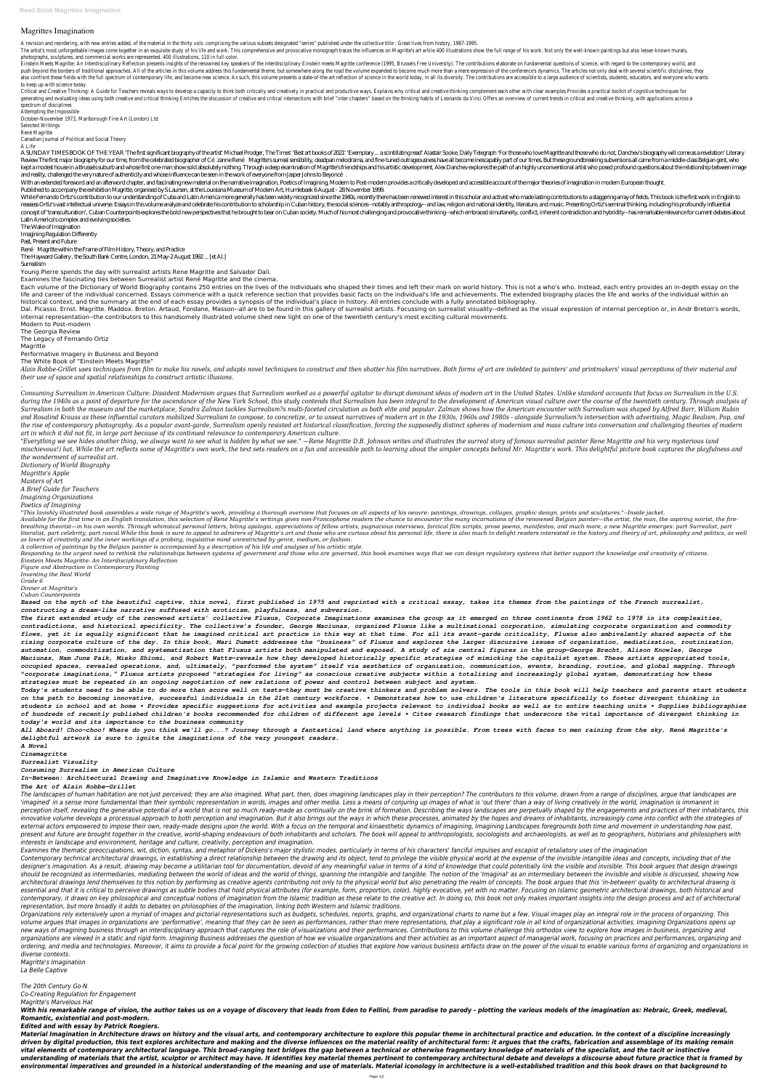**Read Book Magrittes Imagination**

## **Magrittes Imagination**

A revision and reordering, with new entries added, of the material in the thirty vols. comprising the various subsets designated "series" published under the collective title : Great lives from history, 1987-1995.

The artist's most unforgettable images come together in an exquisite study of his life and work. This comprehensive and provocative monograph traces the influences on Magritte's art while 400 illustrations show the full ra photographs, sculptures, and commercial works are represented. 400 illustrations, 110 in full-color.

Einstein Meets Magritte: An Interdisciplinary Reflection presents insights of the renowned key speakers of the interdisciplinary Einstein meets Magritte conference (1995, Brussels Free University). The contributions elabor push beyond the borders of traditional approaches. All of the articles in this volume address this fundamental theme, but somewhere along the road the volume expanded to become much more than a mere expression of the confe also confront these fields with the full spectrum of contemporary life, and become new science. As such, this volume presents a state-of-the-art reflection of science in the world today, in all its diversity. The contribut to keep up with science today.

Critical and Creative Thinking: A Guide for Teachers reveals ways to develop a capacity to think both critically and creatively in practical and productive ways. Explains why critical and creative thinking complement each generating and evaluating ideas using both creative and critical thinking Enriches the discussion of creative and critical intersections with brief "inter-chapters" based on the thinking habits of Leonardo da Vinci Offers spectrum of disciplines

A SUNDAY TIMES BOOK OF THE YEAR 'The first significant biography of the artist' Michael Prodger, The Times' 'Best art books of 2021' 'Exemplary... a scintillating read' Alastair Sooke, Daily Telegraph 'For those who love M Review The first major biography for our time, from the celebrated biographer of Cé zanne René Magritte's surreal sensibility, deadpan melodrama, and fine-tuned outrageousness have all become inescapably part of our times. kept a modest house in a Brussels suburb and whose first one-man show sold absolutely nothing. Through a deep examination of Magritte's friendships and his artistic development, Alex Danchev explores the path of an highly and reality, challenged the very nature of authenticity and whose influence can be seen in the work of everyone from Jasper Johns to Beyoncé.

With an extended foreword and an afterword chapter, and fascinating new material on the narrative imagination, Poetics of Imagining, Modern to Post-modern provides a critically developed and accessible account of the major

Attempting the Impossible October-November 1973, Marlborough Fine Art (London) Ltd

Selected Writings

René Magritte

Canadian Journal of Political and Social Theory

A Life

While Fernando Ortiz's contribution to our understanding of Cuba and Latin America more generally has been widely recognized since the 1940s, recently there has been renewed interest in this scholar and activist who made l reassess Ortiz's vast intellectual universe. Essays in this volume analyze and celebrate his contribution to scholarship in Cuban history, the social sciences - notably anthropology-- and law, religion and national identit concept of 'transculturation', Cuban Counterpoints explores the bold new perspectives that he brought to bear on Cuban society. Much of his most challenging and provocative thinking-which embraced simultaneity, conflict, i Latin America's complex and evolving societies.

Each volume of the Dictionary of World Biography contains 250 entries on the lives of the individuals who shaped their times and left their mark on world history. This is not a who's who. Instead, each entry provides an in life and career of the individual concerned. Essays commence with a quick reference section that provides basic facts on the individual's life and achievements. The extended biography places the life and works of the indiv historical context, and the summary at the end of each essay provides a synopsis of the individual's place in history. All entries conclude with a fully annotated bibliography.

Dal. Picasso. Ernst. Magritte. Maddox. Breton. Artaud, Fondane, Masson--all are to be found in this gallery of surrealist artists. Focussing on surrealist visuality--defined as the visual expression of internal perception internal representation--the contributors to this handsomely illustrated volume shed new light on one of the twentieth century's most exciting cultural movements.

Alain Robbe-Grillet uses techniques from film to make his novels, and adapts novel techniques to construct and then shatter his film narratives. Both forms of art are indebted to painters' and printmakers' visual perceptio *their use of space and spatial relationships to construct artistic illusions.*

Published to accompany the exhibition Magritte, organised by S Laursen, at the Louisiana Museum of Modern Art, Humlebaek 6 August - 28 November 1999.

Consuming Surrealism in American Culture: Dissident Modernism argues that Surrealism worked as a powerful agitator to disrupt dominant ideas of modern art in the United States. Unlike standard accounts that focus on Surrea during the 1940s as a point of departure for the ascendance of the New York School, this study contends that Surrealism has been integral to the development of American visual culture over the course of the twentieth centu Surrealism in both the museum and the marketplace, Sandra Zalman tackles Surrealism?s multi-faceted circulation as both elite and popular. Zalman shows how the American encounter with Surrealism was shaped by Alfred Barr, and Rosalind Krauss as these influential curators mobilized Surrealism to compose, to concretize, or to unseat narratives of modern art in the 1930s, 1960s and 1980s - alongside Surrealism?s intersection with advertising, the rise of contemporary photography. As a popular avant-garde, Surrealism openly resisted art historical classification, forcing the supposedly distinct spheres of modernism and mass culture into conversation and challeng *art in which it did not fit, in large part because of its continued relevance to contemporary American culture.* "Everything we see hides another thing, we always want to see what is hidden by what we see." —Rene Magritte D.B. Johnson writes and illustrates the surreal story of famous surrealist painter Rene Magritte and his very mys mischievous!) hat. While the art reflects some of Magritte's own work, the text sets readers on a fun and accessible path to learning about the simpler concepts behind Mr. Magritte's work. This delightful picture book capt *the wonderment of surrealist art.*

The Wake of Imagination

Imagining Regulation Differently

Past, Present and Future

"This lavishly illustrated book assembles a wide range of Maaritte's work, providing a thorough overview that focuses on all aspects of his oeuvre: paintings, drawings, collages, araphic design, prints and sculptures."--In Available for the first time in an English translation, this selection of René Magritte's writings gives non-Francophone readers the chance to encounter the many incarnations of the renowned Belgian painter—the artist, the breathing theorist—in his own words. Through whimsical personal letters, biting apologia, appreciations of fellow artists, pugnacious interviews, farcical film scripts, prose poems, manifestos, and much more, a new Magritt literalist, part celebrity, part rascal.While this book is sure to appeal to admirers of Magritte's art and those who are curious about his personal life, there is also much to delight readers interested in the history and *as lovers of creativity and the inner workings of a probing, inquisitive mind unrestricted by genre, medium, or fashion.*

René Magritte within the Frame of Film History, Theory, and Practice

The Hayward Gallery , the South Bank Centre, London, 21 May-2 August 1992 ... [et Al.]

Surrealism

Young Pierre spends the day with surrealist artists Rene Magritte and Salvador Dali.

Responding to the urgent need to rethink the relationships between systems of government and those who are governed, this book examines ways that we can design regulatory systems that better support the knowledge and creat *Einstein Meets Magritte: An Interdisciplinary Reflection*

Examines the fascinating ties between Surrealist artist René Magritte and the cinema.

Modern to Post-modern

The Georgia Review

The Legacy of Fernando Ortiz

Magritte

Performative Imagery in Business and Beyond

The White Book of "Einstein Meets Magritte"

*.*

The landscapes of human habitation are not just perceived; they are also imagined. What part, then, does imagining landscapes play in their perception? The contributors to this volume, drawn from a range of disciplines, ar 'imagined' in a sense more fundamental than their symbolic representation in words, images and other media. Less a means of conjuring up images of what is 'out there' than a way of living creatively in the world, imaginati perception itself, revealing the generative potential of a world that is not so much ready-made as continually on the brink of formation. Describing the ways landscapes are perpetually shaped by the engagements and practic innovative volume develops a processual approach to both perception and imagination. But it also brings out the ways in which these processes, animated by the hopes and dreams of inhabitants, increasingly come into conflic external actors empowered to impose their own, ready-made designs upon the world. With a focus on the temporal and kinaesthetic dynamics of imagining, Imagining Landscapes foregrounds both time and movement in understandin present and future are brought together in the creative, world-shaping endeavours of both inhabitants and scholars. The book will appeal to anthropologists, sociologists and archaeologists, as well as to geographers, histo *interests in landscape and environment, heritage and culture, creativity, perception and imagination.*

Examines the thematic preoccupations, wit, diction, syntax, and metaphor of Dickens's major stylistic modes, particularly in terms of his characters' fanciful impulses and escapist of retaliatory uses of the imagination

Contemporary technical architectural drawings, in establishing a direct relationship between the drawing and its object, tend to privilege the visible physical world at the expense of the invisible intangible ideas and con designer's imagination. As a result, drawing may become a utilitarian tool for documentation, devoid of any meaningful value in terms of a kind of knowledge that could potentially link the visible and invisible. This book should be recognized as intermediaries, mediating between the world of ideas and the world of things, spanning the intangible and tangible. The notion of the 'Imaginal' as an intermediary between the invisible and visible architectural drawings lend themselves to this notion by performing as creative agents contributing not only to the physical world but also penetrating the realm of concepts. The book argues that this 'in-between' quality essential and that it is critical to perceive drawings as subtle bodies that hold physical attributes (for example, form, proportion, color), highly evocative, yet with no matter. Focusing on Islamic geometric architectura contemporary, it draws on key philosophical and conceptual notions of imagination from the Islamic tradition as these relate to the creative act. In doing so, this book not only makes important insights into the design pro *representation, but more broadly it adds to debates on philosophies of the imagination, linking both Western and Islamic traditions.*

*Dictionary of World Biography*

*Magritte's Apple*

*Masters of Art*

*A Brief Guide for Teachers*

*Imagining Organizations*

*Poetics of Imagining*

Organizations rely extensively upon a myriad of images and pictorial representations such as budgets, schedules, reports, graphs, and organizational charts to name but a few. Visual images play an integral role in the proc volume argues that images in organizations are 'performative', meaning that they can be seen as performances, rather than mere representations, that play a significant role in all kind of organizational activities. Imagini new ways of imagining business through an interdisciplinary approach that captures the role of visualizations and their performances. Contributions to this volume challenge this orthodox view to explore how images in busin organizations are viewed in a static and rigid form. Imagining Business addresses the question of how we visualize organizations and their activities as an important aspect of managerial work, focusing on practices and per ordering, and media and technologies. Moreover, it aims to provide a focal point for the growing collection of studies that explore how various business artifacts draw on the power of the visual to enable various forms of *diverse contexts.*

Material Imagination in Architecture draws on history and the visual arts, and contemporary architecture to explore this popular theme in architectural practice and education. In the context of a discipline increasingly driven by digital production, this text explores architecture and making and the diverse influences on the material reality of architectural form: it argues that the crafts, fabrication and assemblage of its making remain *vital elements of contemporary architectural language. This broad-ranging text bridges the gap between a technical or otherwise fragmentary knowledge of materials of the specialist, and the tacit or instinctive* understanding of materials that the artist, sculptor or architect may have. It identifies key material themes pertinent to contemporary architectural debate and develops a discourse about future practice that is framed by *environmental imperatives and grounded in a historical understanding of the meaning and use of materials. Material iconology in architecture is a well-established tradition and this book draws on that background to*

*A collection of paintings by the Belgian painter is accompanied by a description of his life and analyses of his artistic style.*

*Figure and Abstraction in Contemporary Painting*

*Inventing the Real World*

*Grade 6*

*Dinner at Magritte's*

*Cuban Counterpoints*

*Based on the myth of the beautiful captive, this novel, first published in 1975 and reprinted with a critical essay, takes its themes from the paintings of the French surrealist, constructing a dream-like narrative suffused with eroticism, playfulness, and subversion.*

*The first extended study of the renowned artists' collective Fluxus, Corporate Imaginations examines the group as it emerged on three continents from 1962 to 1978 in its complexities, contradictions, and historical specificity. The collective's founder, George Maciunas, organized Fluxus like a multinational corporation, simulating corporate organization and commodity flows, yet it is equally significant that he imagined critical art practice in this way at that time. For all its avant-garde criticality, Fluxus also ambivalently shared aspects of the rising corporate culture of the day. In this book, Mari Dumett addresses the "business" of Fluxus and explores the larger discursive issues of organization, mediatization, routinization, automation, commoditization, and systematization that Fluxus artists both manipulated and exposed. A study of six central figures in the group—George Brecht, Alison Knowles, George Maciunas, Nam June Paik, Mieko Shiomi, and Robert Watts—reveals how they developed historically specific strategies of mimicking the capitalist system. These artists appropriated tools, occupied spaces, revealed operations, and, ultimately, "performed the system" itself via aesthetics of organization, communication, events, branding, routine, and global mapping. Through "corporate imaginations," Fluxus artists proposed "strategies for living" as conscious creative subjects within a totalizing and increasingly global system, demonstrating how these strategies must be repeated in an ongoing negotiation of new relations of power and control between subject and system.*

*Today's students need to be able to do more than score well on tests—they must be creative thinkers and problem solvers. The tools in this book will help teachers and parents start students on the path to becoming innovative, successful individuals in the 21st century workforce. • Demonstrates how to use children's literature specifically to foster divergent thinking in students in school and at home • Provides specific suggestions for activities and example projects relevant to individual books as well as to entire teaching units • Supplies bibliographies of hundreds of recently published children's books recommended for children of different age levels • Cites research findings that underscore the vital importance of divergent thinking in today's world and its importance to the business community*

*All Aboard! Choo-choo! Where do you think we'll go...? Journey through a fantastical land where anything is possible. From trees with faces to men raining from the sky, René Magritte's delightful artwork is sure to ignite the imaginations of the very youngest readers.*

*A Novel*

*Cinemagritte*

*Surrealist Visuality*

*Consuming Surrealism in American Culture*

*In-Between: Architectural Drawing and Imaginative Knowledge in Islamic and Western Traditions*

*The Art of Alain Robbe-Grillet*

*Magritte's Imagination*

*La Belle Captive*

*The 20th Century Go-N Co-Creating Regulation for Engagement*

*Magritte's Marvelous Hat*

*With his remarkable range of vision, the author takes us on a voyage of discovery that leads from Eden to Fellini, from paradise to parody - plotting the various models of the imagination as: Hebraic, Greek, medieval, Romantic, existential and post-modern.*

*Edited and with essay by Patrick Roegiers.*